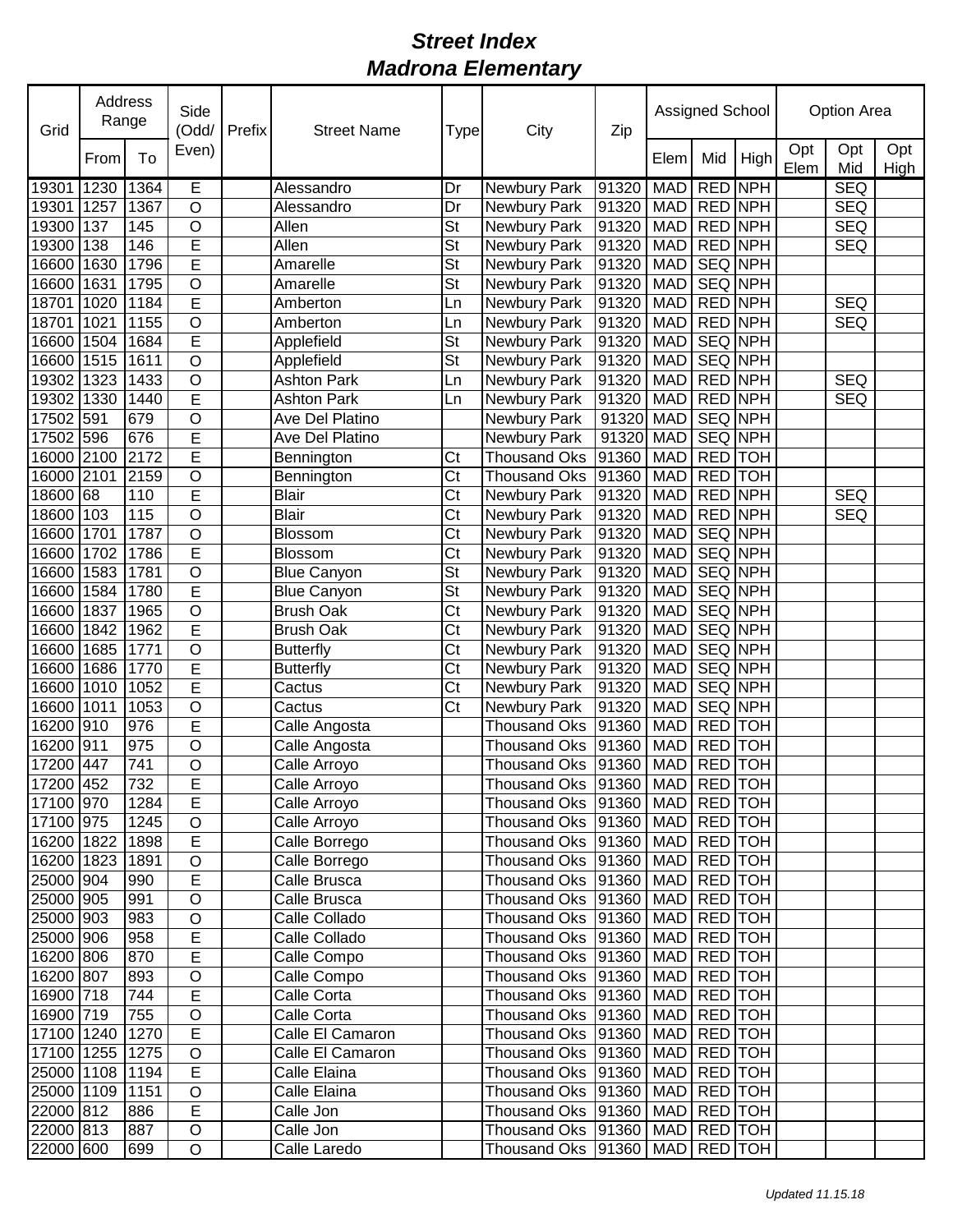| Grid            | Address<br>Range<br>To<br>From |      | Side<br>(Odd/           | Prefix | <b>Street Name</b> | <b>Type</b>            | City                                   | Zip   | Assigned School |                |         | Option Area |            |             |  |
|-----------------|--------------------------------|------|-------------------------|--------|--------------------|------------------------|----------------------------------------|-------|-----------------|----------------|---------|-------------|------------|-------------|--|
|                 |                                |      | Even)                   |        |                    |                        |                                        |       | Elem            | Mid            | High    | Opt<br>Elem | Opt<br>Mid | Opt<br>High |  |
| 19301           | 1230                           | 1364 | E                       |        | Alessandro         | Dr                     | <b>Newbury Park</b>                    | 91320 | MAD             | <b>RED NPH</b> |         |             | <b>SEQ</b> |             |  |
| 19301           | 1257                           | 1367 | $\circ$                 |        | Alessandro         | Dr                     | Newbury Park                           | 91320 | <b>MAD</b>      | <b>RED NPH</b> |         |             | <b>SEQ</b> |             |  |
| 19300           | 137                            | 145  | O                       |        | Allen              | <b>St</b>              | Newbury Park                           | 91320 | <b>MAD</b>      | <b>RED NPH</b> |         |             | <b>SEQ</b> |             |  |
| 19300           | 138                            | 146  | E                       |        | Allen              | <b>St</b>              | Newbury Park                           | 91320 | <b>MAD</b>      | <b>RED NPH</b> |         |             | <b>SEQ</b> |             |  |
| 16600           | 1630                           | 1796 | E                       |        | Amarelle           | <b>St</b>              | Newbury Park                           | 91320 | <b>MAD</b>      | SEQ NPH        |         |             |            |             |  |
| 16600           | 1631                           | 1795 | $\overline{\mathsf{o}}$ |        | Amarelle           | <b>St</b>              | Newbury Park                           | 91320 | <b>MAD</b>      | SEQ NPH        |         |             |            |             |  |
| 18701           | 1020                           | 1184 | E                       |        | Amberton           | Ln                     | Newbury Park                           | 91320 | <b>MAD</b>      | RED NPH        |         |             | <b>SEQ</b> |             |  |
| 18701           | 1021                           | 1155 | O                       |        | Amberton           | Ln                     | Newbury Park                           | 91320 | <b>MAD</b>      | RED NPH        |         |             | <b>SEQ</b> |             |  |
| 16600           | 1504                           | 1684 | E                       |        | Applefield         | <b>St</b>              | Newbury Park                           | 91320 | <b>MAD</b>      | <b>SEQ NPH</b> |         |             |            |             |  |
| 16600           | 1515                           | 1611 | O                       |        | Applefield         | <b>St</b>              | Newbury Park                           | 91320 | <b>MAD</b>      | SEQ NPH        |         |             |            |             |  |
| 19302           | 1323                           | 1433 | $\circ$                 |        | <b>Ashton Park</b> | Ln                     | Newbury Park                           | 91320 | <b>MAD</b>      | RED NPH        |         |             | <b>SEQ</b> |             |  |
| 19302 1330      |                                | 1440 | E                       |        | <b>Ashton Park</b> | Ln                     | Newbury Park                           | 91320 | <b>MAD</b>      | RED NPH        |         |             | <b>SEQ</b> |             |  |
| 17502 591       |                                | 679  | O                       |        | Ave Del Platino    |                        | Newbury Park                           | 91320 | <b>MAD</b>      | SEQ NPH        |         |             |            |             |  |
| 17502 596       |                                | 676  | E                       |        | Ave Del Platino    |                        | Newbury Park                           | 91320 | <b>MAD</b>      | SEQ NPH        |         |             |            |             |  |
| 16000 2100      |                                | 2172 | E                       |        | Bennington         | Ct                     | Thousand Oks                           | 91360 | <b>MAD</b>      | RED TOH        |         |             |            |             |  |
| 16000 2101      |                                | 2159 | $\overline{O}$          |        | Bennington         | Ct                     | Thousand Oks                           | 91360 | <b>MAD</b>      | RED TOH        |         |             |            |             |  |
| 18600 68        |                                | 110  | E                       |        | <b>Blair</b>       | C <sub>t</sub>         | Newbury Park                           | 91320 | <b>MAD</b>      | RED NPH        |         |             | <b>SEQ</b> |             |  |
| 18600 103       |                                | 115  | O                       |        | <b>Blair</b>       | Ct                     | Newbury Park                           | 91320 | <b>MAD</b>      | RED NPH        |         |             | <b>SEQ</b> |             |  |
| 16600           | 1701                           | 1787 | O                       |        | Blossom            | Ct                     | Newbury Park                           | 91320 | <b>MAD</b>      | <b>SEQ NPH</b> |         |             |            |             |  |
| 16600           | 1702                           | 1786 | E                       |        | <b>Blossom</b>     | Ct                     | Newbury Park                           | 91320 | <b>MAD</b>      | SEQ NPH        |         |             |            |             |  |
| 16600           | 1583                           | 1781 | $\overline{\rm o}$      |        | <b>Blue Canyon</b> | <b>St</b>              | Newbury Park                           | 91320 | <b>MAD</b>      |                | SEQ NPH |             |            |             |  |
| 16600           | 1584                           | 1780 | $\overline{E}$          |        | <b>Blue Canyon</b> | <b>St</b>              | Newbury Park                           | 91320 | <b>MAD</b>      |                | SEQ NPH |             |            |             |  |
| 16600           | 1837                           | 1965 | $\overline{\rm o}$      |        | <b>Brush Oak</b>   | Ct                     | Newbury Park                           | 91320 | <b>MAD</b>      | SEQ NPH        |         |             |            |             |  |
| 16600           | 1842                           | 1962 | $\overline{E}$          |        | <b>Brush Oak</b>   | Ct                     | Newbury Park                           | 91320 | <b>MAD</b>      | SEQ NPH        |         |             |            |             |  |
| 16600           | 1685                           | 1771 | O                       |        | <b>Butterfly</b>   | $\overline{\text{C}t}$ | Newbury Park                           | 91320 | <b>MAD</b>      | SEQ NPH        |         |             |            |             |  |
| 16600 1686      |                                | 1770 | E                       |        | <b>Butterfly</b>   | Ct                     | Newbury Park                           | 91320 | <b>MAD</b>      | <b>SEQ NPH</b> |         |             |            |             |  |
| 16600 1010      |                                | 1052 | E                       |        | Cactus             | Ct                     | Newbury Park                           | 91320 | <b>MAD</b>      | SEQ NPH        |         |             |            |             |  |
| 16600 1011      |                                | 1053 | $\circ$                 |        | Cactus             | Ct                     | Newbury Park                           | 91320 | <b>MAD</b>      | SEQ NPH        |         |             |            |             |  |
| 16200 910       |                                | 976  | E                       |        | Calle Angosta      |                        | <b>Thousand Oks</b>                    | 91360 | <b>MAD</b>      | RED TOH        |         |             |            |             |  |
| 16200 911       |                                | 975  | O                       |        | Calle Angosta      |                        | <b>Thousand Oks</b>                    | 91360 | <b>MAD</b>      | <b>RED</b> TOH |         |             |            |             |  |
| 17200 447       |                                | 741  | $\circ$                 |        | Calle Arroyo       |                        | Thousand Oks 91360                     |       | MAD RED TOH     |                |         |             |            |             |  |
| 17200 452       |                                | 732  | E                       |        | Calle Arroyo       |                        | Thousand Oks 91360 MAD RED TOH         |       |                 |                |         |             |            |             |  |
| 17100 970       |                                | 1284 | E                       |        | Calle Arroyo       |                        | Thousand Oks   91360   MAD   RED   TOH |       |                 |                |         |             |            |             |  |
| 17100 975       |                                | 1245 | $\mathsf O$             |        | Calle Arroyo       |                        | Thousand Oks  91360   MAD   RED   TOH  |       |                 |                |         |             |            |             |  |
| 16200 1822      |                                | 1898 | $\overline{E}$          |        | Calle Borrego      |                        | Thousand Oks   91360   MAD   RED   TOH |       |                 |                |         |             |            |             |  |
| 16200 1823      |                                | 1891 | O                       |        | Calle Borrego      |                        | Thousand Oks  91360   MAD   RED   TOH  |       |                 |                |         |             |            |             |  |
| 25000 904       |                                | 990  | E                       |        | Calle Brusca       |                        | Thousand Oks  91360   MAD   RED   TOH  |       |                 |                |         |             |            |             |  |
| 25000 905       |                                | 991  | O                       |        | Calle Brusca       |                        | Thousand Oks   91360   MAD   RED   TOH |       |                 |                |         |             |            |             |  |
| 25000 903       |                                | 983  | $\mathsf O$             |        | Calle Collado      |                        | Thousand Oks  91360   MAD   RED   TOH  |       |                 |                |         |             |            |             |  |
| 25000 906       |                                | 958  | E                       |        | Calle Collado      |                        | Thousand Oks  91360   MAD   RED   TOH  |       |                 |                |         |             |            |             |  |
| 16200 806       |                                | 870  | E                       |        | Calle Compo        |                        | Thousand Oks  91360   MAD   RED   TOH  |       |                 |                |         |             |            |             |  |
| 16200 807       |                                | 893  | O                       |        | Calle Compo        |                        | Thousand Oks  91360   MAD   RED   TOH  |       |                 |                |         |             |            |             |  |
| 16900 718       |                                | 744  | E                       |        | Calle Corta        |                        | Thousand Oks   91360   MAD   RED   TOH |       |                 |                |         |             |            |             |  |
| 16900 719       |                                | 755  | $\circ$                 |        | Calle Corta        |                        | Thousand Oks   91360   MAD   RED   TOH |       |                 |                |         |             |            |             |  |
| 17100 1240      |                                | 1270 | E                       |        | Calle El Camaron   |                        | Thousand Oks   91360   MAD   RED   TOH |       |                 |                |         |             |            |             |  |
| 17100 1255      |                                | 1275 | $\mathsf O$             |        | Calle El Camaron   |                        | Thousand Oks   91360   MAD   RED   TOH |       |                 |                |         |             |            |             |  |
| 25000 1108      |                                | 1194 | E                       |        | Calle Elaina       |                        | Thousand Oks   91360   MAD   RED   TOH |       |                 |                |         |             |            |             |  |
| 25000 1109 1151 |                                |      | $\mathsf O$             |        | Calle Elaina       |                        | Thousand Oks   91360   MAD   RED   TOH |       |                 |                |         |             |            |             |  |
| 22000 812       |                                | 886  | E                       |        | Calle Jon          |                        | Thousand Oks   91360   MAD   RED   TOH |       |                 |                |         |             |            |             |  |
| 22000 813       |                                | 887  | $\hbox{O}$              |        | Calle Jon          |                        | Thousand Oks   91360   MAD   RED   TOH |       |                 |                |         |             |            |             |  |
| 22000 600       |                                | 699  | O                       |        | Calle Laredo       |                        | Thousand Oks  91360   MAD   RED   TOH  |       |                 |                |         |             |            |             |  |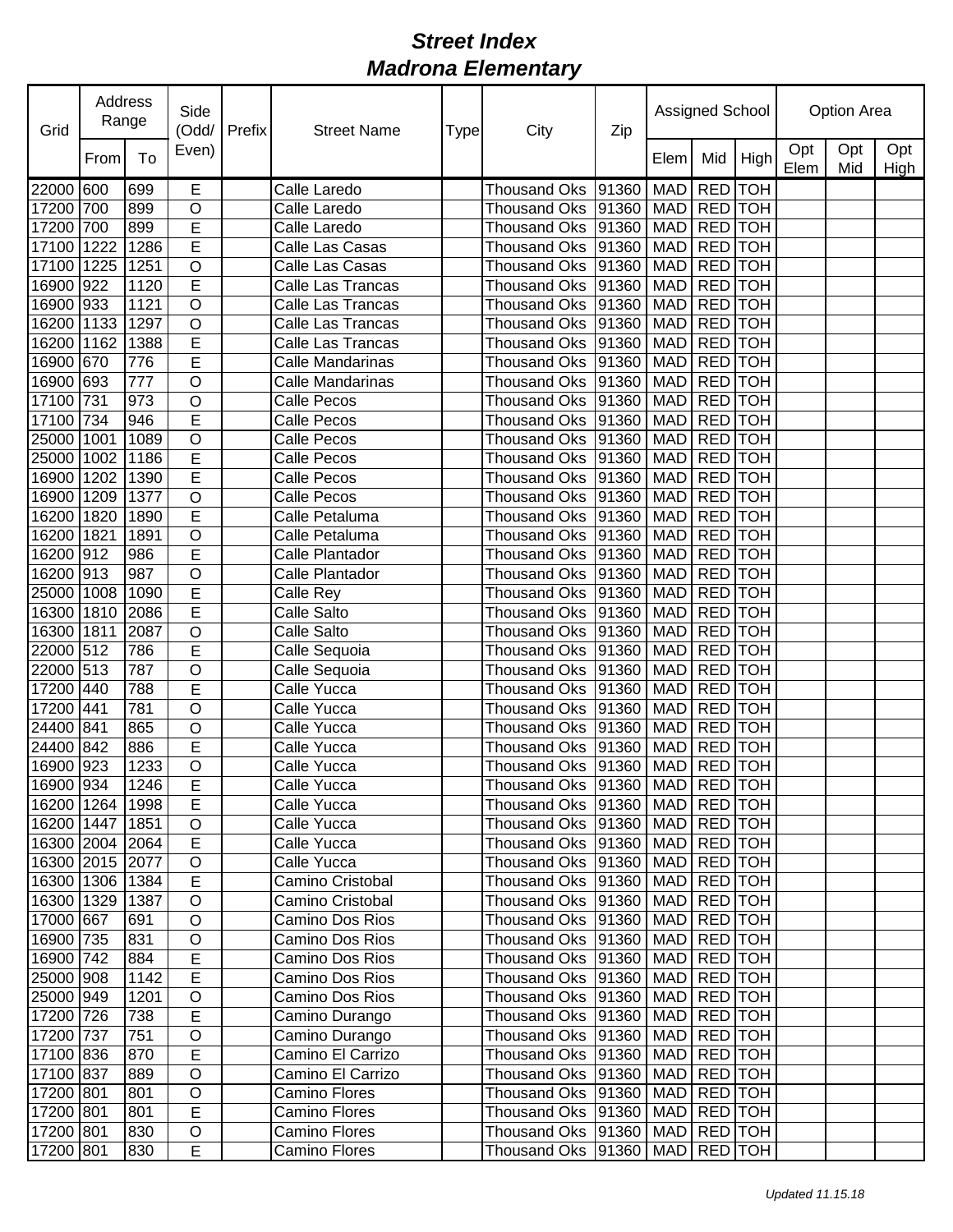| Grid            | Address<br>Range | Side<br>(Odd/ | <b>Prefix</b>      | <b>Street Name</b> | Type              | City | Zip                                    |       | Assigned School |                | <b>Option Area</b> |             |            |             |
|-----------------|------------------|---------------|--------------------|--------------------|-------------------|------|----------------------------------------|-------|-----------------|----------------|--------------------|-------------|------------|-------------|
|                 | From             | To            | Even)              |                    |                   |      |                                        |       | Elem            | Mid            | High               | Opt<br>Elem | Opt<br>Mid | Opt<br>High |
| 22000           | 600              | 699           | E                  |                    | Calle Laredo      |      | <b>Thousand Oks</b>                    | 91360 | <b>MAD</b>      | RED TOH        |                    |             |            |             |
| 17200 700       |                  | 899           | $\overline{O}$     |                    | Calle Laredo      |      | <b>Thousand Oks</b>                    | 91360 | <b>MAD</b>      | RED TOH        |                    |             |            |             |
| 17200           | 700              | 899           | E                  |                    | Calle Laredo      |      | <b>Thousand Oks</b>                    | 91360 | <b>MAD</b>      | RED TOH        |                    |             |            |             |
| 17100           | 1222             | 1286          | $\overline{E}$     |                    | Calle Las Casas   |      | <b>Thousand Oks</b>                    | 91360 | <b>MAD</b>      | RED TOH        |                    |             |            |             |
| 17100           | 1225             | 1251          | O                  |                    | Calle Las Casas   |      | <b>Thousand Oks</b>                    | 91360 | <b>MAD</b>      | RED TOH        |                    |             |            |             |
| 16900           | 922              | 1120          | E                  |                    | Calle Las Trancas |      | <b>Thousand Oks</b>                    | 91360 | <b>MAD</b>      | RED TOH        |                    |             |            |             |
| 16900 933       |                  | 1121          | $\circ$            |                    | Calle Las Trancas |      | <b>Thousand Oks</b>                    | 91360 | <b>MAD</b>      | RED TOH        |                    |             |            |             |
| 16200 1133      |                  | 1297          | $\circ$            |                    | Calle Las Trancas |      | <b>Thousand Oks</b>                    | 91360 | <b>MAD</b>      | RED TOH        |                    |             |            |             |
| 16200 1162      |                  | 1388          | E                  |                    | Calle Las Trancas |      | <b>Thousand Oks</b>                    | 91360 | <b>MAD</b>      | <b>RED</b> TOH |                    |             |            |             |
| 16900 670       |                  | 776           | E                  |                    | Calle Mandarinas  |      | <b>Thousand Oks</b>                    | 91360 | <b>MAD</b>      | <b>RED</b> TOH |                    |             |            |             |
| 16900 693       |                  | 777           | $\circ$            |                    | Calle Mandarinas  |      | <b>Thousand Oks</b>                    | 91360 | <b>MAD</b>      | <b>RED</b> TOH |                    |             |            |             |
| 17100 731       |                  | 973           | $\circ$            |                    | Calle Pecos       |      | <b>Thousand Oks</b>                    | 91360 | <b>MAD</b>      | RED TOH        |                    |             |            |             |
| 17100 734       |                  | 946           | Ē                  |                    | Calle Pecos       |      | <b>Thousand Oks</b>                    | 91360 | <b>MAD</b>      | <b>RED</b> TOH |                    |             |            |             |
| 25000 1001      |                  | 1089          | $\circ$            |                    | Calle Pecos       |      | <b>Thousand Oks</b>                    | 91360 | <b>MAD</b>      | <b>RED</b> TOH |                    |             |            |             |
| 25000           | 1002             | 1186          | E                  |                    | Calle Pecos       |      | <b>Thousand Oks</b>                    | 91360 | <b>MAD</b>      | <b>RED</b> TOH |                    |             |            |             |
| 16900           | 1202             | 1390          | $\overline{E}$     |                    | Calle Pecos       |      | <b>Thousand Oks</b>                    | 91360 | <b>MAD</b>      | <b>RED</b> TOH |                    |             |            |             |
| 16900           | 1209             | 1377          | $\overline{\rm o}$ |                    | Calle Pecos       |      | <b>Thousand Oks</b>                    | 91360 | <b>MAD</b>      | <b>RED</b> TOH |                    |             |            |             |
| 16200           | 1820             | 1890          | E                  |                    | Calle Petaluma    |      | <b>Thousand Oks</b>                    | 91360 | <b>MAD</b>      | RED TOH        |                    |             |            |             |
| 16200           | 1821             | 1891          | $\overline{\rm o}$ |                    | Calle Petaluma    |      | <b>Thousand Oks</b>                    | 91360 | <b>MAD</b>      | RED TOH        |                    |             |            |             |
| 16200 912       |                  | 986           | E                  |                    | Calle Plantador   |      | <b>Thousand Oks</b>                    | 91360 | <b>MAD</b>      | RED TOH        |                    |             |            |             |
| 16200 913       |                  | 987           | $\circ$            |                    | Calle Plantador   |      | <b>Thousand Oks</b>                    | 91360 | <b>MAD</b>      | RED TOH        |                    |             |            |             |
| 25000 1008      |                  | 1090          | E                  |                    | Calle Rey         |      | <b>Thousand Oks</b>                    | 91360 | <b>MAD</b>      | RED TOH        |                    |             |            |             |
| 16300 1810      |                  | 2086          | E                  |                    | Calle Salto       |      | <b>Thousand Oks</b>                    | 91360 | <b>MAD</b>      | RED TOH        |                    |             |            |             |
| 16300           | 1811             | 2087          | $\circ$            |                    | Calle Salto       |      | <b>Thousand Oks</b>                    | 91360 | <b>MAD</b>      | RED TOH        |                    |             |            |             |
| 22000 512       |                  | 786           | E                  |                    | Calle Sequoia     |      | <b>Thousand Oks</b>                    | 91360 | <b>MAD</b>      | RED TOH        |                    |             |            |             |
| 22000 513       |                  | 787           | O                  |                    | Calle Sequoia     |      | <b>Thousand Oks</b>                    | 91360 | <b>MAD</b>      | <b>RED</b> TOH |                    |             |            |             |
| 17200 440       |                  | 788           | E                  |                    | Calle Yucca       |      | Thousand Oks                           | 91360 | <b>MAD</b>      | <b>RED</b> TOH |                    |             |            |             |
| 17200           | 441              | 781           | $\overline{O}$     |                    | Calle Yucca       |      | <b>Thousand Oks</b>                    | 91360 | <b>MAD</b>      | RED TOH        |                    |             |            |             |
| 24400 841       |                  | 865           | O                  |                    | Calle Yucca       |      | Thousand Oks                           | 91360 | <b>MAD</b>      | RED TOH        |                    |             |            |             |
| 24400 842       |                  | 886           | Ē                  |                    | Calle Yucca       |      | Thousand Oks                           | 91360 | <b>MAD</b>      | <b>RED</b> TOH |                    |             |            |             |
| 16900 923       |                  | 1233          | O                  |                    | Calle Yucca       |      | Thousand Oks 91360                     |       | MAD RED TOH     |                |                    |             |            |             |
| 16900 934       |                  | 1246          | Ē                  |                    | Calle Yucca       |      | Thousand Oks 91360 MAD RED TOH         |       |                 |                |                    |             |            |             |
| 16200 1264      |                  | 1998          | E                  |                    | Calle Yucca       |      | Thousand Oks  91360   MAD   RED   TOH  |       |                 |                |                    |             |            |             |
| 16200 1447      |                  | 1851          | O                  |                    | Calle Yucca       |      | Thousand Oks  91360   MAD   RED   TOH  |       |                 |                |                    |             |            |             |
| 16300 2004 2064 |                  |               | E                  |                    | Calle Yucca       |      | Thousand Oks  91360   MAD   RED   TOH  |       |                 |                |                    |             |            |             |
| 16300 2015 2077 |                  |               | $\mathsf O$        |                    | Calle Yucca       |      | Thousand Oks   91360                   |       | MAD RED TOH     |                |                    |             |            |             |
| 16300 1306      |                  | 1384          | $\overline{E}$     |                    | Camino Cristobal  |      | Thousand Oks 91360                     |       | MAD RED TOH     |                |                    |             |            |             |
| 16300 1329      |                  | 1387          | O                  |                    | Camino Cristobal  |      | Thousand Oks   91360                   |       | MAD RED TOH     |                |                    |             |            |             |
| 17000 667       |                  | 691           | $\mathsf O$        |                    | Camino Dos Rios   |      | Thousand Oks 91360                     |       | MAD RED TOH     |                |                    |             |            |             |
| 16900 735       |                  | 831           | $\mathsf O$        |                    | Camino Dos Rios   |      | Thousand Oks 91360                     |       | MAD RED TOH     |                |                    |             |            |             |
| 16900 742       |                  | 884           | E                  |                    | Camino Dos Rios   |      | Thousand Oks 91360                     |       | <b>MAD</b>      | RED TOH        |                    |             |            |             |
| 25000 908       |                  | 1142          | $\overline{E}$     |                    | Camino Dos Rios   |      | Thousand Oks   91360                   |       | <b>MAD</b>      | RED TOH        |                    |             |            |             |
| 25000 949       |                  | 1201          | $\mathsf O$        |                    | Camino Dos Rios   |      | Thousand Oks 91360                     |       | MAD             | RED TOH        |                    |             |            |             |
| 17200 726       |                  | 738           | $\overline{E}$     |                    | Camino Durango    |      | Thousand Oks   91360                   |       | MAD RED TOH     |                |                    |             |            |             |
| 17200 737       |                  | 751           | $\mathsf O$        |                    | Camino Durango    |      | Thousand Oks   91360                   |       | MAD RED TOH     |                |                    |             |            |             |
| 17100 836       |                  | 870           | E                  |                    | Camino El Carrizo |      | Thousand Oks   91360                   |       | MAD RED TOH     |                |                    |             |            |             |
| 17100 837       |                  | 889           | $\circ$            |                    | Camino El Carrizo |      | Thousand Oks   91360                   |       | MAD RED TOH     |                |                    |             |            |             |
| 17200 801       |                  | 801           | $\mathsf O$        |                    | Camino Flores     |      | Thousand Oks   91360                   |       | MAD RED TOH     |                |                    |             |            |             |
| 17200 801       |                  | 801           | E                  |                    | Camino Flores     |      | Thousand Oks 91360                     |       | MAD RED TOH     |                |                    |             |            |             |
| 17200 801       |                  | 830           | O                  |                    | Camino Flores     |      | Thousand Oks   91360                   |       | MAD RED TOH     |                |                    |             |            |             |
| 17200 801       |                  | 830           | E                  |                    | Camino Flores     |      | Thousand Oks   91360   MAD   RED   TOH |       |                 |                |                    |             |            |             |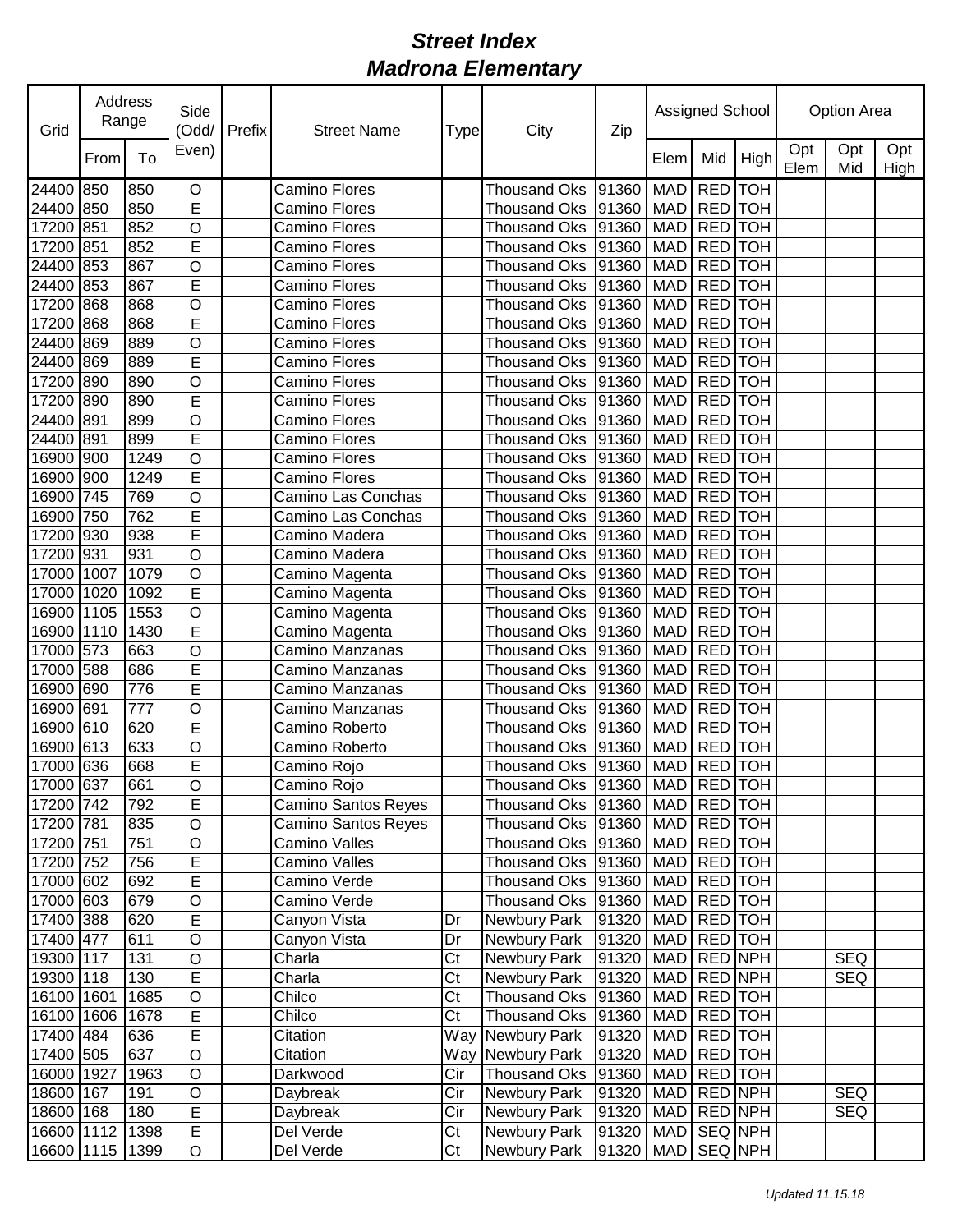| Grid       | <b>Address</b><br>Range |      | Side<br>(Odd/           | Prefix | <b>Street Name</b>   | Type | City                           | Zip   |               | Assigned School |         | <b>Option Area</b> |            |             |  |
|------------|-------------------------|------|-------------------------|--------|----------------------|------|--------------------------------|-------|---------------|-----------------|---------|--------------------|------------|-------------|--|
|            | From                    | To   | Even)                   |        |                      |      |                                |       | Elem          | Mid             | High    | Opt<br>Elem        | Opt<br>Mid | Opt<br>High |  |
| 24400      | 850                     | 850  | O                       |        | <b>Camino Flores</b> |      | <b>Thousand Oks</b>            | 91360 | <b>MAD</b>    | <b>RED</b> TOH  |         |                    |            |             |  |
| 24400      | 850                     | 850  | E                       |        | Camino Flores        |      | <b>Thousand Oks</b>            | 91360 | <b>MAD</b>    | RED TOH         |         |                    |            |             |  |
| 17200      | 851                     | 852  | $\overline{O}$          |        | <b>Camino Flores</b> |      | <b>Thousand Oks</b>            | 91360 | <b>MAD</b>    | RED TOH         |         |                    |            |             |  |
| 17200      | 851                     | 852  | E                       |        | Camino Flores        |      | <b>Thousand Oks</b>            | 91360 | <b>MAD</b>    | RED TOH         |         |                    |            |             |  |
| 24400      | 853                     | 867  | O                       |        | <b>Camino Flores</b> |      | <b>Thousand Oks</b>            | 91360 | <b>MAD</b>    | RED TOH         |         |                    |            |             |  |
| 24400      | 853                     | 867  | E                       |        | <b>Camino Flores</b> |      | <b>Thousand Oks</b>            | 91360 | <b>MAD</b>    | RED TOH         |         |                    |            |             |  |
| 17200      | 868                     | 868  | O                       |        | <b>Camino Flores</b> |      | <b>Thousand Oks</b>            | 91360 | <b>MAD</b>    | RED TOH         |         |                    |            |             |  |
| 17200      | 868                     | 868  | E                       |        | <b>Camino Flores</b> |      | <b>Thousand Oks</b>            | 91360 | <b>MAD</b>    | RED TOH         |         |                    |            |             |  |
| 24400      | 869                     | 889  | O                       |        | <b>Camino Flores</b> |      | <b>Thousand Oks</b>            | 91360 | <b>MAD</b>    | RED TOH         |         |                    |            |             |  |
| 24400      | 869                     | 889  | E                       |        | <b>Camino Flores</b> |      | <b>Thousand Oks</b>            | 91360 | <b>MAD</b>    | <b>RED</b> TOH  |         |                    |            |             |  |
| 17200      | 890                     | 890  | O                       |        | <b>Camino Flores</b> |      | <b>Thousand Oks</b>            | 91360 | <b>MAD</b>    | <b>RED</b> TOH  |         |                    |            |             |  |
| 17200      | 890                     | 890  | E                       |        | <b>Camino Flores</b> |      | <b>Thousand Oks</b>            | 91360 | <b>MAD</b>    | <b>RED</b> TOH  |         |                    |            |             |  |
| 24400      | 891                     | 899  | O                       |        | <b>Camino Flores</b> |      | <b>Thousand Oks</b>            | 91360 | <b>MAD</b>    | RED TOH         |         |                    |            |             |  |
| 24400      | 891                     | 899  | Ē                       |        | <b>Camino Flores</b> |      | <b>Thousand Oks</b>            | 91360 | <b>MAD</b>    | <b>RED</b> TOH  |         |                    |            |             |  |
| 16900      | 900                     | 1249 | $\circ$                 |        | <b>Camino Flores</b> |      | <b>Thousand Oks</b>            | 91360 | <b>MAD</b>    | <b>RED</b> TOH  |         |                    |            |             |  |
| 16900      | 900                     | 1249 | Ē                       |        | <b>Camino Flores</b> |      | <b>Thousand Oks</b>            | 91360 | <b>MAD</b>    | <b>RED</b> TOH  |         |                    |            |             |  |
| 16900      | 745                     | 769  | O                       |        | Camino Las Conchas   |      | <b>Thousand Oks</b>            | 91360 | <b>MAD</b>    | <b>RED</b> TOH  |         |                    |            |             |  |
| 16900      | 750                     | 762  | E                       |        | Camino Las Conchas   |      | <b>Thousand Oks</b>            | 91360 | <b>MAD</b>    | RED TOH         |         |                    |            |             |  |
| 17200      | 930                     | 938  | E                       |        | Camino Madera        |      | <b>Thousand Oks</b>            | 91360 | <b>MAD</b>    | RED TOH         |         |                    |            |             |  |
| 17200      | 931                     | 931  | $\overline{O}$          |        | Camino Madera        |      | Thousand Oks                   | 91360 | <b>MAD</b>    | RED TOH         |         |                    |            |             |  |
| 17000      | 1007                    | 1079 | O                       |        | Camino Magenta       |      | <b>Thousand Oks</b>            | 91360 | <b>MAD</b>    | RED TOH         |         |                    |            |             |  |
| 17000      | 1020                    | 1092 | E                       |        | Camino Magenta       |      | <b>Thousand Oks</b>            | 91360 | <b>MAD</b>    | RED TOH         |         |                    |            |             |  |
| 16900      | 1105                    | 1553 | $\circ$                 |        | Camino Magenta       |      | <b>Thousand Oks</b>            | 91360 | <b>MAD</b>    | RED TOH         |         |                    |            |             |  |
| 16900      | 1110                    | 1430 | E                       |        | Camino Magenta       |      | <b>Thousand Oks</b>            | 91360 | <b>MAD</b>    | RED TOH         |         |                    |            |             |  |
| 17000      | 573                     | 663  | O                       |        | Camino Manzanas      |      | <b>Thousand Oks</b>            | 91360 | <b>MAD</b>    | RED TOH         |         |                    |            |             |  |
| 17000      | 588                     | 686  | E                       |        | Camino Manzanas      |      | <b>Thousand Oks</b>            | 91360 | <b>MAD</b>    | RED TOH         |         |                    |            |             |  |
| 16900      | 690                     | 776  | E                       |        | Camino Manzanas      |      | <b>Thousand Oks</b>            | 91360 | <b>MAD</b>    | <b>RED</b> TOH  |         |                    |            |             |  |
| 16900      | 691                     | 777  | O                       |        | Camino Manzanas      |      | <b>Thousand Oks</b>            | 91360 | <b>MAD</b>    | <b>RED</b> TOH  |         |                    |            |             |  |
| 16900      | 610                     | 620  | E                       |        | Camino Roberto       |      | <b>Thousand Oks</b>            | 91360 | <b>MAD</b>    | <b>RED</b> TOH  |         |                    |            |             |  |
| 16900      | 613                     | 633  | O                       |        | Camino Roberto       |      | <b>Thousand Oks</b>            | 91360 | <b>MAD</b>    | RED TOH         |         |                    |            |             |  |
| 17000 636  |                         | 668  | E                       |        | Camino Rojo          |      | Thousand Oks 91360             |       | MAD RED TOH   |                 |         |                    |            |             |  |
| 17000 637  |                         | 661  | $\overline{\mathsf{o}}$ |        | Camino Rojo          |      | Thousand Oks 91360 MAD RED TOH |       |               |                 |         |                    |            |             |  |
| 17200 742  |                         | 792  | E                       |        | Camino Santos Reyes  |      | Thousand Oks   91360           |       | MAD RED TOH   |                 |         |                    |            |             |  |
| 17200 781  |                         | 835  | O                       |        | Camino Santos Reyes  |      | <b>Thousand Oks</b>            | 91360 | MAD           | RED TOH         |         |                    |            |             |  |
| 17200 751  |                         | 751  | O                       |        | Camino Valles        |      | <b>Thousand Oks</b>            | 91360 | MAD           |                 | RED TOH |                    |            |             |  |
| 17200 752  |                         | 756  | E                       |        | Camino Valles        |      | Thousand Oks                   | 91360 | <b>MAD</b>    | RED TOH         |         |                    |            |             |  |
| 17000 602  |                         | 692  | E                       |        | Camino Verde         |      | Thousand Oks                   | 91360 | MAD           | RED TOH         |         |                    |            |             |  |
| 17000 603  |                         | 679  | O                       |        | Camino Verde         |      | Thousand Oks                   | 91360 | MAD RED TOH   |                 |         |                    |            |             |  |
| 17400 388  |                         | 620  | E                       |        | Canyon Vista         | Dr   | Newbury Park                   | 91320 | MAD           | RED TOH         |         |                    |            |             |  |
| 17400 477  |                         | 611  | $\mathsf O$             |        | Canyon Vista         | Dr   | Newbury Park                   | 91320 | MAD RED TOH   |                 |         |                    |            |             |  |
| 19300 117  |                         | 131  | O                       |        | Charla               | Ct   | Newbury Park                   | 91320 | <b>MAD</b>    | RED NPH         |         |                    | <b>SEQ</b> |             |  |
| 19300 118  |                         | 130  | E                       |        | Charla               | Ct   | Newbury Park                   | 91320 | <b>MAD</b>    | <b>RED NPH</b>  |         |                    | <b>SEQ</b> |             |  |
| 16100 1601 |                         | 1685 | $\mathsf O$             |        | Chilco               | Ct   | <b>Thousand Oks</b>            | 91360 | <b>MAD</b>    | RED TOH         |         |                    |            |             |  |
| 16100 1606 |                         | 1678 | E                       |        | Chilco               | Ct   | <b>Thousand Oks</b>            | 91360 | <b>MAD</b>    | RED TOH         |         |                    |            |             |  |
| 17400 484  |                         | 636  | E                       |        | Citation             |      | Way Newbury Park               | 91320 | MAD           | RED TOH         |         |                    |            |             |  |
| 17400 505  |                         | 637  | $\circ$                 |        | Citation             |      | Way Newbury Park               | 91320 | <b>MAD</b>    | <b>RED</b> TOH  |         |                    |            |             |  |
| 16000 1927 |                         | 1963 | $\circ$                 |        | Darkwood             | Cir  | <b>Thousand Oks</b>            | 91360 | <b>MAD</b>    | RED TOH         |         |                    |            |             |  |
| 18600      | 167                     | 191  | O                       |        | Daybreak             | Cir  | Newbury Park                   | 91320 | MAD RED NPH   |                 |         |                    | <b>SEQ</b> |             |  |
| 18600 168  |                         | 180  | $\overline{\mathsf{E}}$ |        | Daybreak             | Cir  | Newbury Park                   | 91320 | MAD RED NPH   |                 |         |                    | <b>SEQ</b> |             |  |
| 16600 1112 |                         | 1398 | E                       |        | Del Verde            | Ct   | Newbury Park                   | 91320 | <b>MAD</b>    | SEQ NPH         |         |                    |            |             |  |
| 16600 1115 |                         | 1399 | O                       |        | Del Verde            | Ct   | Newbury Park                   | 91320 | MAD   SEQ NPH |                 |         |                    |            |             |  |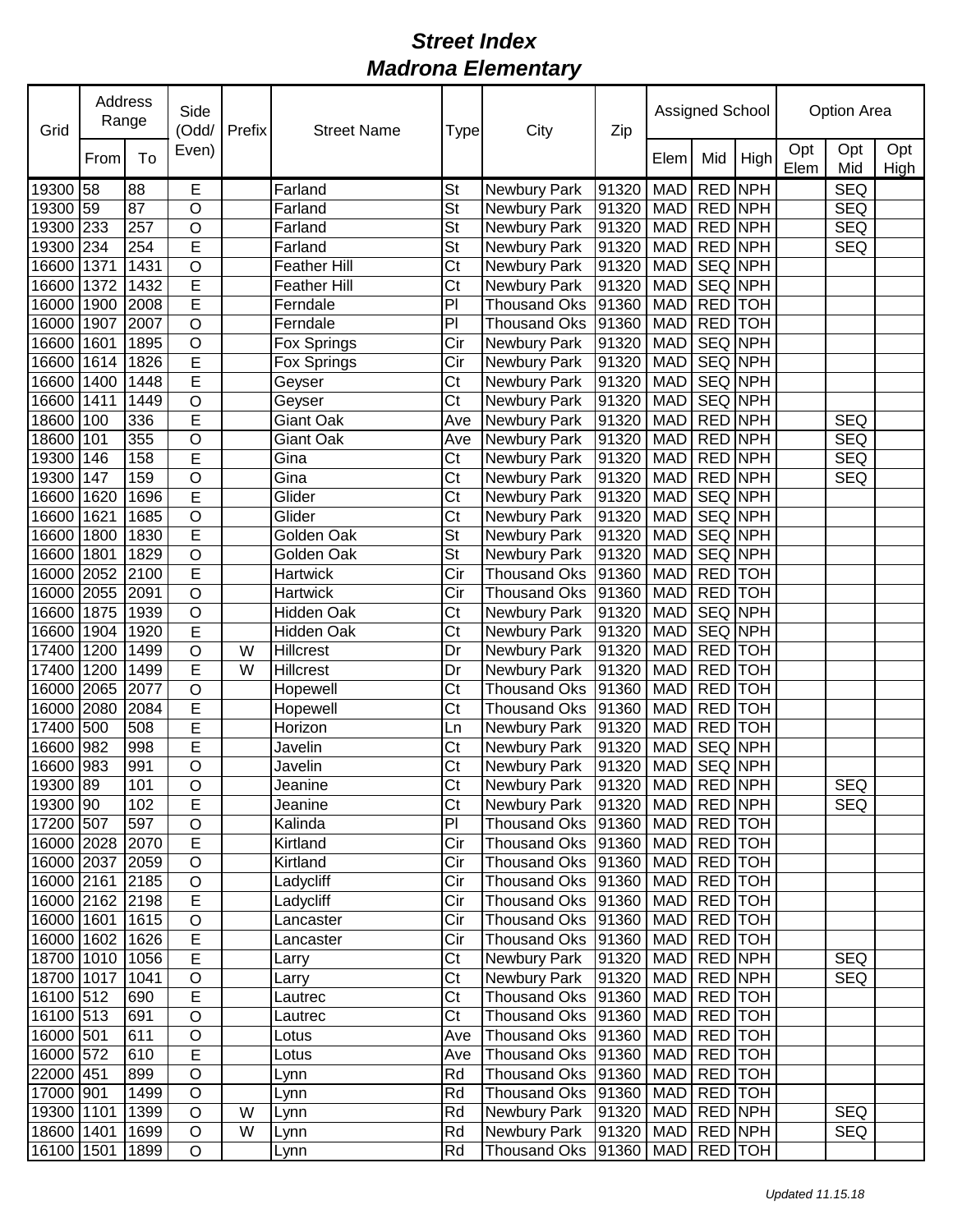| Grid            | Address<br>Range |      | Side<br>(Odd/           | Prefix | <b>Street Name</b>  | Type                     | City                | Zip                   |             | Assigned School |                | <b>Option Area</b> |            |             |
|-----------------|------------------|------|-------------------------|--------|---------------------|--------------------------|---------------------|-----------------------|-------------|-----------------|----------------|--------------------|------------|-------------|
|                 | From             | To   | Even)                   |        |                     |                          |                     |                       | Elem        | Mid             | High           | Opt<br>Elem        | Opt<br>Mid | Opt<br>High |
| 19300 58        |                  | 88   | Е                       |        | Farland             | <b>St</b>                | Newbury Park        | 91320                 | <b>MAD</b>  |                 | RED NPH        |                    | <b>SEQ</b> |             |
| 19300 59        |                  | 87   | O                       |        | Farland             | St                       | Newbury Park        | 91320                 | <b>MAD</b>  |                 | RED NPH        |                    | <b>SEQ</b> |             |
| 19300           | 233              | 257  | $\overline{O}$          |        | Farland             | <b>St</b>                | Newbury Park        | 91320                 | <b>MAD</b>  |                 | RED NPH        |                    | <b>SEQ</b> |             |
| 19300           | 234              | 254  | E                       |        | Farland             | St                       | Newbury Park        | 91320                 | <b>MAD</b>  |                 | RED NPH        |                    | <b>SEQ</b> |             |
| 16600           | 1371             | 1431 | $\overline{O}$          |        | Feather Hill        | Ct                       | Newbury Park        | 91320                 | <b>MAD</b>  |                 | SEQ NPH        |                    |            |             |
| 16600           | 1372             | 1432 | E                       |        | <b>Feather Hill</b> | Ct                       | Newbury Park        | 91320                 | <b>MAD</b>  | SEQ NPH         |                |                    |            |             |
| 16000           | 1900             | 2008 | E                       |        | Ferndale            | PI                       | <b>Thousand Oks</b> | 91360                 | <b>MAD</b>  | RED TOH         |                |                    |            |             |
| 16000           | 1907             | 2007 | O                       |        | Ferndale            | PI                       | <b>Thousand Oks</b> | 91360                 | <b>MAD</b>  | RED TOH         |                |                    |            |             |
| 16600           | 1601             | 1895 | $\circ$                 |        | Fox Springs         | Cir                      | Newbury Park        | 91320                 | <b>MAD</b>  |                 | <b>SEQ NPH</b> |                    |            |             |
| 16600           | 1614             | 1826 | E                       |        | Fox Springs         | Cir                      | Newbury Park        | 91320                 | <b>MAD</b>  | <b>SEQ NPH</b>  |                |                    |            |             |
| 16600           | 1400             | 1448 | E                       |        | Geyser              | C <sub>t</sub>           | Newbury Park        | 91320                 | <b>MAD</b>  |                 | <b>SEQ NPH</b> |                    |            |             |
| 16600           | 1411             | 1449 | $\circ$                 |        | Geyser              | Ct                       | Newbury Park        | 91320                 | <b>MAD</b>  |                 | <b>SEQ NPH</b> |                    |            |             |
| 18600           | 100              | 336  | E                       |        | Giant Oak           | Ave                      | Newbury Park        | 91320                 | <b>MAD</b>  | RED NPH         |                |                    | <b>SEQ</b> |             |
| 18600           | 101              | 355  | O                       |        | Giant Oak           | Ave                      | Newbury Park        | 91320                 | <b>MAD</b>  | RED NPH         |                |                    | <b>SEQ</b> |             |
| 19300           | 146              | 158  | E                       |        | Gina                | C <sub>t</sub>           | Newbury Park        | 91320                 | <b>MAD</b>  | RED NPH         |                |                    | <b>SEQ</b> |             |
| 19300           | 147              | 159  | O                       |        | Gina                | Ct                       | Newbury Park        | 91320                 | <b>MAD</b>  | RED NPH         |                |                    | <b>SEQ</b> |             |
| 16600           | 1620             | 1696 | $\overline{E}$          |        | Glider              | Ct                       | Newbury Park        | 91320                 | <b>MAD</b>  |                 | <b>SEQ NPH</b> |                    |            |             |
| 16600           | 1621             | 1685 | $\overline{O}$          |        | Glider              | Ct                       | Newbury Park        | 91320                 | <b>MAD</b>  |                 | SEQ NPH        |                    |            |             |
| 16600           | 1800             | 1830 | E                       |        | Golden Oak          | $\overline{\mathsf{St}}$ | Newbury Park        | 91320                 | <b>MAD</b>  |                 | SEQ NPH        |                    |            |             |
| 16600           | 1801             | 1829 | $\overline{O}$          |        | Golden Oak          | $\overline{\mathsf{St}}$ | Newbury Park        | 91320                 | <b>MAD</b>  |                 | SEQ NPH        |                    |            |             |
| 16000           | 2052             | 2100 | E                       |        | <b>Hartwick</b>     | Cir                      | <b>Thousand Oks</b> | 91360                 | <b>MAD</b>  | RED TOH         |                |                    |            |             |
| 16000 2055      |                  | 2091 | O                       |        | Hartwick            | Cir                      | <b>Thousand Oks</b> | 91360                 | <b>MAD</b>  | RED TOH         |                |                    |            |             |
| 16600           | 1875             | 1939 | O                       |        | Hidden Oak          | Ct                       | Newbury Park        | 91320                 | <b>MAD</b>  | <b>SEQ NPH</b>  |                |                    |            |             |
| 16600           | 1904             | 1920 | E                       |        | <b>Hidden Oak</b>   | Ct                       | Newbury Park        | 91320                 | <b>MAD</b>  | <b>SEQ NPH</b>  |                |                    |            |             |
| 17400           | 1200             | 1499 | O                       | W      | Hillcrest           | Dr                       | Newbury Park        | 91320                 | <b>MAD</b>  | RED TOH         |                |                    |            |             |
| 17400           | 1200             | 1499 | E                       | W      | <b>Hillcrest</b>    | Dr                       | Newbury Park        | 91320                 | <b>MAD</b>  |                 | RED TOH        |                    |            |             |
| 16000 2065      |                  | 2077 | $\circ$                 |        | Hopewell            | Ct                       | <b>Thousand Oks</b> | 91360                 | <b>MAD</b>  |                 | <b>RED</b> TOH |                    |            |             |
| 16000 2080      |                  | 2084 | E                       |        | Hopewell            | Ct                       | <b>Thousand Oks</b> | 91360                 | <b>MAD</b>  |                 | <b>RED</b> TOH |                    |            |             |
| 17400 500       |                  | 508  | E                       |        | Horizon             | Ln                       | Newbury Park        | 91320                 | <b>MAD</b>  | RED TOH         |                |                    |            |             |
| 16600 982       |                  | 998  | E                       |        | Javelin             | Ct                       | Newbury Park        | 91320                 | <b>MAD</b>  | <b>SEQ NPH</b>  |                |                    |            |             |
| 16600 983       |                  | 991  | $\circ$                 |        | Javelin             | C <sub>t</sub>           | Newbury Park        | 91320                 | MAD         | SEQ NPH         |                |                    |            |             |
| 19300 89        |                  | 101  | $\overline{\mathsf{o}}$ |        | Jeanine             | $\overline{\text{C}t}$   | <b>Newbury Park</b> | 91320 MAD RED NPH     |             |                 |                |                    | SEQ        |             |
| 19300 90        |                  | 102  | E                       |        | Jeanine             | Ct                       | Newbury Park        | 91320   MAD   RED NPH |             |                 |                |                    | <b>SEQ</b> |             |
| 17200 507       |                  | 597  | O                       |        | Kalinda             | PI                       | Thousand Oks        | 91360                 | <b>MAD</b>  |                 | RED TOH        |                    |            |             |
| 16000 2028 2070 |                  |      | $\overline{E}$          |        | Kirtland            | Cir                      | Thousand Oks        | 91360                 | <b>MAD</b>  |                 | RED TOH        |                    |            |             |
| 16000 2037 2059 |                  |      | $\circ$                 |        | Kirtland            | Cir                      | Thousand Oks        | 91360                 | MAD         |                 | RED TOH        |                    |            |             |
| 16000 2161      |                  | 2185 | $\circ$                 |        | Ladycliff           | Cir                      | <b>Thousand Oks</b> | 91360                 | <b>MAD</b>  |                 | RED TOH        |                    |            |             |
| 16000 2162 2198 |                  |      | $\overline{E}$          |        | Ladycliff           | Cir                      | <b>Thousand Oks</b> | 91360                 | MAD RED TOH |                 |                |                    |            |             |
| 16000 1601      |                  | 1615 | $\mathsf O$             |        | Lancaster           | Cir                      | <b>Thousand Oks</b> | 91360                 | MAD RED TOH |                 |                |                    |            |             |
| 16000 1602      |                  | 1626 | E                       |        | Lancaster           | Cir                      | <b>Thousand Oks</b> | 91360                 | MAD RED TOH |                 |                |                    |            |             |
| 18700 1010      |                  | 1056 | E                       |        | Larry               | Ct                       | Newbury Park        | 91320                 | MAD RED NPH |                 |                |                    | <b>SEQ</b> |             |
| 18700 1017      |                  | 1041 | $\mathsf O$             |        | Larry               | Ct                       | Newbury Park        | 91320                 | MAD         | <b>RED NPH</b>  |                |                    | <b>SEQ</b> |             |
| 16100 512       |                  | 690  | $\overline{\mathsf{E}}$ |        | Lautrec             | Ct                       | <b>Thousand Oks</b> | 91360                 | MAD         |                 | RED TOH        |                    |            |             |
| 16100 513       |                  | 691  | $\mathsf O$             |        | Lautrec             | Ct                       | <b>Thousand Oks</b> | 91360                 | MAD         |                 | RED TOH        |                    |            |             |
| 16000 501       |                  | 611  | $\circ$                 |        | Lotus               | Ave                      | Thousand Oks 91360  |                       | <b>MAD</b>  |                 | RED TOH        |                    |            |             |
| 16000 572       |                  | 610  | E                       |        | Lotus               | Ave                      | Thousand Oks 91360  |                       | MAD RED TOH |                 |                |                    |            |             |
| 22000 451       |                  | 899  | $\bigcirc$              |        | Lynn                | Rd                       | Thousand Oks 91360  |                       | MAD RED TOH |                 |                |                    |            |             |
| 17000 901       |                  | 1499 | $\mathsf O$             |        | Lynn                | Rd                       | <b>Thousand Oks</b> | 91360                 | MAD RED TOH |                 |                |                    |            |             |
| 19300 1101      |                  | 1399 | $\mathsf O$             | W      | Lynn                | Rd                       | Newbury Park        | 91320                 | MAD RED NPH |                 |                |                    | <b>SEQ</b> |             |
| 18600 1401      |                  | 1699 | $\mathsf O$             | W      | Lynn                | Rd                       | Newbury Park        | 91320                 | MAD RED NPH |                 |                |                    | <b>SEQ</b> |             |
| 16100 1501      |                  | 1899 | $\mathsf O$             |        | Lynn                | Rd                       | <b>Thousand Oks</b> | 91360                 | MAD RED TOH |                 |                |                    |            |             |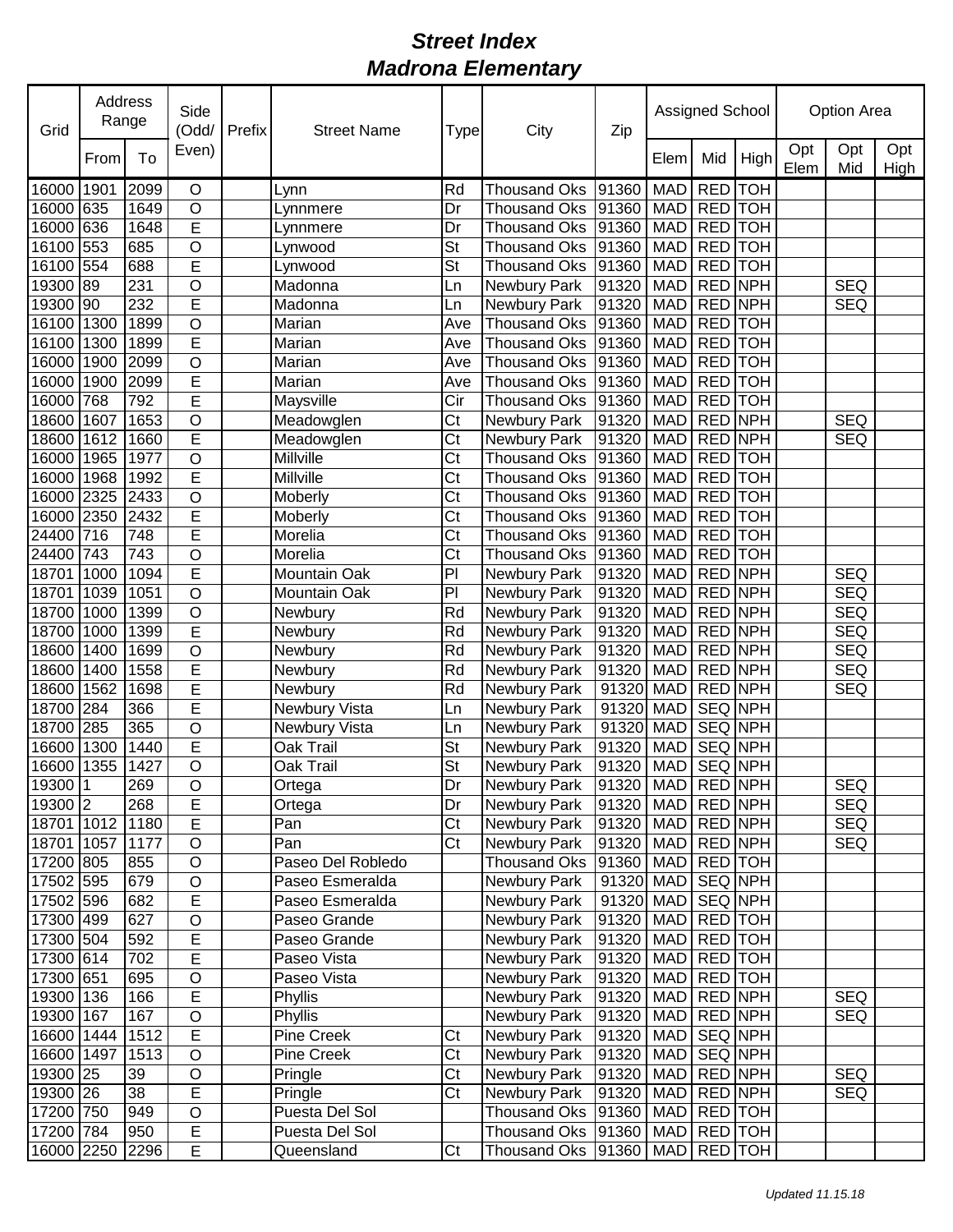| Grid       | Address<br>Range<br>To<br>From |                 | Side<br>(Odd/           | Prefix | <b>Street Name</b> | Type                     | City                | Zip                   |             | Assigned School |         | <b>Option Area</b> |            |             |  |
|------------|--------------------------------|-----------------|-------------------------|--------|--------------------|--------------------------|---------------------|-----------------------|-------------|-----------------|---------|--------------------|------------|-------------|--|
|            |                                |                 | Even)                   |        |                    |                          |                     |                       | Elem        | Mid             | High    | Opt<br>Elem        | Opt<br>Mid | Opt<br>High |  |
| 16000      | 1901                           | 2099            | O                       |        | Lynn               | Rd                       | <b>Thousand Oks</b> | 91360                 | <b>MAD</b>  | RED TOH         |         |                    |            |             |  |
| 16000 635  |                                | 1649            | O                       |        | Lynnmere           | Dr                       | <b>Thousand Oks</b> | 91360                 | <b>MAD</b>  | RED TOH         |         |                    |            |             |  |
| 16000      | 636                            | 1648            | $\overline{E}$          |        | _ynnmere           | Dr                       | <b>Thousand Oks</b> | 91360                 | <b>MAD</b>  | RED TOH         |         |                    |            |             |  |
| 16100      | 553                            | 685             | $\overline{O}$          |        | Lynwood            | <b>St</b>                | <b>Thousand Oks</b> | 91360                 | <b>MAD</b>  | RED TOH         |         |                    |            |             |  |
| 16100      | 554                            | 688             | E                       |        | Lynwood            | <b>St</b>                | <b>Thousand Oks</b> | 91360                 | <b>MAD</b>  | RED TOH         |         |                    |            |             |  |
| 19300      | 89                             | 231             | O                       |        | Madonna            | Ln                       | Newbury Park        | 91320                 | <b>MAD</b>  | RED NPH         |         |                    | <b>SEQ</b> |             |  |
| 19300 90   |                                | 232             | E                       |        | Madonna            | Ln                       | Newbury Park        | 91320                 | <b>MAD</b>  | RED NPH         |         |                    | <b>SEQ</b> |             |  |
| 16100      | 1300                           | 1899            | O                       |        | Marian             | Ave                      | <b>Thousand Oks</b> | 91360                 | <b>MAD</b>  | RED TOH         |         |                    |            |             |  |
| 16100      | 1300                           | 1899            | E                       |        | Marian             | Ave                      | <b>Thousand Oks</b> | 91360                 | <b>MAD</b>  | RED TOH         |         |                    |            |             |  |
| 16000      | 1900                           | 2099            | O                       |        | Marian             | Ave                      | <b>Thousand Oks</b> | 91360                 | <b>MAD</b>  | RED TOH         |         |                    |            |             |  |
| 16000      | 1900                           | 2099            | E                       |        | Marian             | Ave                      | <b>Thousand Oks</b> | 91360                 | <b>MAD</b>  | <b>RED</b> TOH  |         |                    |            |             |  |
| 16000      | 768                            | 792             | E                       |        | Maysville          | Cir                      | <b>Thousand Oks</b> | 91360                 | <b>MAD</b>  | <b>RED</b> TOH  |         |                    |            |             |  |
| 18600      | 1607                           | 1653            | $\circ$                 |        | Meadowglen         | Ct                       | Newbury Park        | 91320                 | <b>MAD</b>  | <b>RED NPH</b>  |         |                    | <b>SEQ</b> |             |  |
| 18600      | 1612                           | 1660            | E                       |        | Meadowglen         | Ct                       | Newbury Park        | 91320                 | <b>MAD</b>  | <b>RED NPH</b>  |         |                    | <b>SEQ</b> |             |  |
| 16000      | 1965                           | 1977            | $\overline{\rm o}$      |        | Millville          | $\overline{\text{C}t}$   | <b>Thousand Oks</b> | 91360                 | <b>MAD</b>  | RED TOH         |         |                    |            |             |  |
| 16000      | 1968                           | 1992            | $\overline{E}$          |        | Millville          | Ct                       | <b>Thousand Oks</b> | 91360                 | <b>MAD</b>  | <b>RED</b> TOH  |         |                    |            |             |  |
| 16000      | 2325                           | 2433            | $\circ$                 |        | Moberly            | Ct                       | <b>Thousand Oks</b> | 91360                 | <b>MAD</b>  | <b>RED</b> TOH  |         |                    |            |             |  |
| 16000      | 2350                           | 2432            | E                       |        | Moberly            | Ct                       | <b>Thousand Oks</b> | 91360                 | <b>MAD</b>  | <b>RED</b> TOH  |         |                    |            |             |  |
| 24400      | 716                            | 748             | E                       |        | Morelia            | Ct                       | <b>Thousand Oks</b> | 91360                 | <b>MAD</b>  | RED TOH         |         |                    |            |             |  |
| 24400      | 743                            | 743             | O                       |        | Morelia            | Ct                       | <b>Thousand Oks</b> | 91360                 | <b>MAD</b>  | RED TOH         |         |                    |            |             |  |
| 18701      | 1000                           | 1094            | $\overline{\mathsf{E}}$ |        | Mountain Oak       | PI                       |                     | 91320                 | <b>MAD</b>  | RED NPH         |         |                    | <b>SEQ</b> |             |  |
|            |                                |                 |                         |        |                    |                          | Newbury Park        |                       |             |                 |         |                    |            |             |  |
| 18701      | 1039                           | 1051            | O                       |        | Mountain Oak       | PI                       | Newbury Park        | 91320                 | <b>MAD</b>  | RED NPH         |         |                    | <b>SEQ</b> |             |  |
| 18700      | 1000                           | 1399            | O                       |        | Newbury            | Rd                       | Newbury Park        | 91320                 | <b>MAD</b>  | RED NPH         |         |                    | <b>SEQ</b> |             |  |
| 18700      | 1000                           | 1399            | E                       |        | Newbury            | Rd                       | Newbury Park        | 91320                 | <b>MAD</b>  | RED NPH         |         |                    | <b>SEQ</b> |             |  |
| 18600      | 1400                           | 1699            | $\circ$                 |        | Newbury            | Rd                       | Newbury Park        | 91320                 | <b>MAD</b>  | RED NPH         |         |                    | <b>SEQ</b> |             |  |
| 18600      | 1400                           | 1558            | E                       |        | Newbury            | Rd                       | Newbury Park        | 91320                 | <b>MAD</b>  | RED NPH         |         |                    | <b>SEQ</b> |             |  |
| 18600      | 1562                           | 1698            | E                       |        | Newbury            | Rd                       | Newbury Park        | 91320                 | <b>MAD</b>  | RED NPH         |         |                    | <b>SEQ</b> |             |  |
| 18700 284  |                                | 366             | E                       |        | Newbury Vista      | Ln                       | Newbury Park        | 91320                 | <b>MAD</b>  | SEQ NPH         |         |                    |            |             |  |
| 18700 285  |                                | 365             | $\overline{O}$          |        | Newbury Vista      | Ln                       | Newbury Park        | 91320                 | <b>MAD</b>  | SEQ NPH         |         |                    |            |             |  |
| 16600      | 1300                           | 1440            | E                       |        | Oak Trail          | <b>St</b>                | Newbury Park        | 91320                 | <b>MAD</b>  | <b>SEQ NPH</b>  |         |                    |            |             |  |
| 16600 1355 |                                | 1427            | $\circ$                 |        | Oak Trail          | <b>St</b>                | Newbury Park        | 91320                 | MAD         | SEQ NPH         |         |                    |            |             |  |
| 19300 1    |                                | 269             | $\overline{O}$          |        | Ortega             | $\overline{\mathsf{Dr}}$ | Newbury Park        | 91320 MAD RED NPH     |             |                 |         |                    | <b>SEQ</b> |             |  |
| 19300 2    |                                | 268             | E                       |        | Ortega             | Dr                       | Newbury Park        | 91320   MAD   RED NPH |             |                 |         |                    | <b>SEQ</b> |             |  |
| 18701 1012 |                                | 1180            | E                       |        | Pan                | Ct                       | Newbury Park        | 91320                 | MAD RED NPH |                 |         |                    | <b>SEQ</b> |             |  |
| 18701 1057 |                                | 1177            | $\mathsf O$             |        | Pan                | Ct                       | Newbury Park        | 91320                 | <b>MAD</b>  | RED NPH         |         |                    | <b>SEQ</b> |             |  |
| 17200 805  |                                | 855             | $\circ$                 |        | Paseo Del Robledo  |                          | <b>Thousand Oks</b> | 91360                 | MAD         | RED TOH         |         |                    |            |             |  |
| 17502 595  |                                | 679             | $\circ$                 |        | Paseo Esmeralda    |                          | Newbury Park        | 91320 MAD             |             |                 | SEQ NPH |                    |            |             |  |
| 17502 596  |                                | 682             | E                       |        | Paseo Esmeralda    |                          | Newbury Park        | 91320 MAD             |             | SEQ NPH         |         |                    |            |             |  |
| 17300 499  |                                | 627             | $\mathsf O$             |        | Paseo Grande       |                          | Newbury Park        | 91320                 | <b>MAD</b>  | RED TOH         |         |                    |            |             |  |
| 17300 504  |                                | 592             | $\overline{E}$          |        | Paseo Grande       |                          | Newbury Park        | 91320                 | MAD RED TOH |                 |         |                    |            |             |  |
| 17300 614  |                                | 702             | E                       |        | Paseo Vista        |                          | Newbury Park        | 91320                 | MAD         | RED TOH         |         |                    |            |             |  |
| 17300 651  |                                | 695             | $\mathsf O$             |        | Paseo Vista        |                          | Newbury Park        | 91320                 | MAD         | RED TOH         |         |                    |            |             |  |
| 19300 136  |                                | 166             | E                       |        | Phyllis            |                          | Newbury Park        | 91320                 | MAD         | <b>RED NPH</b>  |         |                    | <b>SEQ</b> |             |  |
| 19300 167  |                                | 167             | $\overline{O}$          |        | Phyllis            |                          | Newbury Park        | 91320                 | MAD         | <b>RED NPH</b>  |         |                    | <b>SEQ</b> |             |  |
| 16600 1444 |                                | 1512            | $\overline{E}$          |        | Pine Creek         | Ct                       | Newbury Park        | 91320                 | <b>MAD</b>  | SEQ NPH         |         |                    |            |             |  |
| 16600 1497 |                                | 1513            | $\overline{O}$          |        | Pine Creek         | Ct                       | Newbury Park        | 91320                 | <b>MAD</b>  | SEQ NPH         |         |                    |            |             |  |
| 19300 25   |                                | 39              | O                       |        | Pringle            | Ct                       | Newbury Park        | 91320                 | <b>MAD</b>  | <b>RED NPH</b>  |         |                    | <b>SEQ</b> |             |  |
| 19300 26   |                                | $\overline{38}$ | E                       |        | Pringle            | Ct                       | Newbury Park        | 91320                 | MAD RED NPH |                 |         |                    | <b>SEQ</b> |             |  |
| 17200 750  |                                | 949             | $\mathsf O$             |        | Puesta Del Sol     |                          | Thousand Oks        | 91360                 | MAD RED TOH |                 |         |                    |            |             |  |
| 17200 784  |                                | 950             | E                       |        | Puesta Del Sol     |                          | <b>Thousand Oks</b> | 91360                 | MAD RED TOH |                 |         |                    |            |             |  |
| 16000 2250 |                                | 2296            | $\overline{E}$          |        | Queensland         | Ct                       | <b>Thousand Oks</b> | 91360                 | MAD RED TOH |                 |         |                    |            |             |  |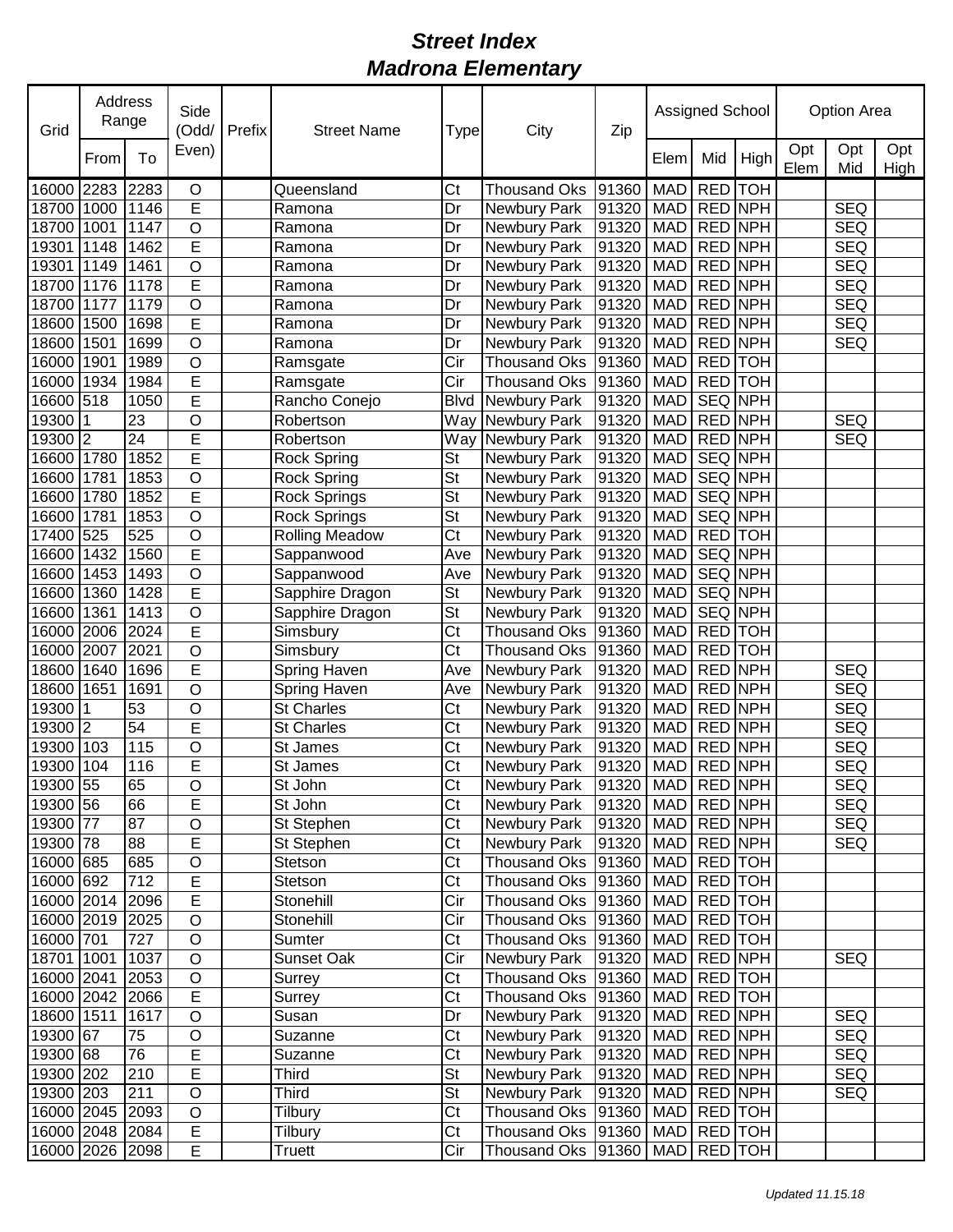| Grid            | Address<br>Range |                 | Side<br>(Odd/           | Prefix | <b>Street Name</b><br>Type |                          | City                 | Zip               | Assigned School |                |            | <b>Option Area</b> |            |             |
|-----------------|------------------|-----------------|-------------------------|--------|----------------------------|--------------------------|----------------------|-------------------|-----------------|----------------|------------|--------------------|------------|-------------|
|                 | From             | To              | Even)                   |        |                            |                          |                      |                   | Elem            | Mid            | High       | Opt<br>Elem        | Opt<br>Mid | Opt<br>High |
| 16000           | 2283             | 2283            | O                       |        | Queensland                 | Ct                       | <b>Thousand Oks</b>  | 91360             | <b>MAD</b>      | <b>RED</b>     | <b>TOH</b> |                    |            |             |
| 18700           | 1000             | 1146            | E                       |        | Ramona                     | Dr                       | <b>Newbury Park</b>  | 91320             | <b>MAD</b>      |                | RED NPH    |                    | <b>SEQ</b> |             |
| 18700           | 1001             | 1147            | $\overline{O}$          |        | Ramona                     | Dr                       | <b>Newbury Park</b>  | 91320             | <b>MAD</b>      | RED NPH        |            |                    | <b>SEQ</b> |             |
| 19301           | 1148             | 1462            | E                       |        | Ramona                     | Dr                       | Newbury Park         | 91320             | <b>MAD</b>      | RED NPH        |            |                    | <b>SEQ</b> |             |
| 19301           | 1149             | 1461            | O                       |        | Ramona                     | Dr                       | Newbury Park         | 91320             | <b>MAD</b>      | RED NPH        |            |                    | <b>SEQ</b> |             |
| 18700           | 1176             | 1178            | E                       |        | Ramona                     | Dr                       | Newbury Park         | 91320             | <b>MAD</b>      | <b>RED NPH</b> |            |                    | <b>SEQ</b> |             |
| 18700           | 1177             | 1179            | O                       |        | Ramona                     | Dr                       | Newbury Park         | 91320             | <b>MAD</b>      | <b>RED NPH</b> |            |                    | <b>SEQ</b> |             |
| 18600           | 1500             | 1698            | E                       |        | Ramona                     | Dr                       | Newbury Park         | 91320             | <b>MAD</b>      | <b>RED NPH</b> |            |                    | <b>SEQ</b> |             |
| 18600           | 1501             | 1699            | $\circ$                 |        | Ramona                     | Dr                       | Newbury Park         | 91320             | <b>MAD</b>      | <b>RED NPH</b> |            |                    | <b>SEQ</b> |             |
| 16000           | 1901             | 1989            | $\circ$                 |        | Ramsgate                   | Cir                      | <b>Thousand Oks</b>  | 91360             | <b>MAD</b>      | RED TOH        |            |                    |            |             |
| 16000           | 1934             | 1984            | E                       |        | Ramsgate                   | Cir                      | <b>Thousand Oks</b>  | 91360             | <b>MAD</b>      | <b>RED</b> TOH |            |                    |            |             |
| 16600 518       |                  | 1050            | E                       |        | Rancho Conejo              | <b>Blvd</b>              | Newbury Park         | 91320             | <b>MAD</b>      | <b>SEQ NPH</b> |            |                    |            |             |
| 19300           |                  | $\overline{23}$ | O                       |        | Robertson                  | Way                      | <b>Newbury Park</b>  | 91320             | <b>MAD</b>      | RED NPH        |            |                    | <b>SEQ</b> |             |
| 19300 2         |                  | $\overline{24}$ | E                       |        | Robertson                  | Way                      | Newbury Park         | 91320             | <b>MAD</b>      | RED NPH        |            |                    | <b>SEQ</b> |             |
| 16600           | 1780             | 1852            | E                       |        | <b>Rock Spring</b>         | <b>St</b>                | Newbury Park         | 91320             | <b>MAD</b>      | SEQ NPH        |            |                    |            |             |
| 16600           | 1781             | 1853            | O                       |        | Rock Spring                | $\overline{\mathsf{St}}$ | Newbury Park         | 91320             | <b>MAD</b>      | SEQ NPH        |            |                    |            |             |
| 16600           | 1780             | 1852            | $\overline{E}$          |        | Rock Springs               | $\overline{\mathsf{St}}$ | Newbury Park         | 91320             | <b>MAD</b>      | <b>SEQ NPH</b> |            |                    |            |             |
| 16600           | 1781             | 1853            | O                       |        | <b>Rock Springs</b>        | $\overline{\mathsf{St}}$ | Newbury Park         | 91320             | <b>MAD</b>      | <b>SEQ NPH</b> |            |                    |            |             |
| 17400           | 525              | 525             | O                       |        | <b>Rolling Meadow</b>      | Ct                       | Newbury Park         | 91320             | <b>MAD</b>      | RED TOH        |            |                    |            |             |
| 16600           | 1432             | 1560            | E                       |        | Sappanwood                 | Ave                      | Newbury Park         | 91320             | <b>MAD</b>      | SEQ NPH        |            |                    |            |             |
| 16600           | 1453             | 1493            | O                       |        | Sappanwood                 | Ave                      | Newbury Park         | 91320             | <b>MAD</b>      | <b>SEQ NPH</b> |            |                    |            |             |
| 16600           | 1360             | 1428            | E                       |        | Sapphire Dragon            | <b>St</b>                | Newbury Park         | 91320             | <b>MAD</b>      | <b>SEQ NPH</b> |            |                    |            |             |
| 16600           | 1361             | 1413            | $\circ$                 |        | Sapphire Dragon            | <b>St</b>                | Newbury Park         | 91320             | <b>MAD</b>      | SEQ NPH        |            |                    |            |             |
| 16000           | 2006             | 2024            | E                       |        | Simsbury                   | Ct                       | <b>Thousand Oks</b>  | 91360             | <b>MAD</b>      | RED TOH        |            |                    |            |             |
| 16000           | 2007             | 2021            | $\circ$                 |        | Simsbury                   | Ct                       | <b>Thousand Oks</b>  | 91360             | <b>MAD</b>      | RED TOH        |            |                    |            |             |
| 18600           | 1640             | 1696            | E                       |        | Spring Haven               | Ave                      | Newbury Park         | 91320             | <b>MAD</b>      | <b>RED NPH</b> |            |                    | <b>SEQ</b> |             |
| 18600           | 1651             | 1691            | $\circ$                 |        | <b>Spring Haven</b>        | Ave                      | Newbury Park         | 91320             | <b>MAD</b>      | RED NPH        |            |                    | <b>SEQ</b> |             |
| 19300           |                  | 53              | O                       |        | <b>St Charles</b>          | Ct                       | Newbury Park         | 91320             | <b>MAD</b>      | RED NPH        |            |                    | <b>SEQ</b> |             |
| 19300 2         |                  | 54              | Ē                       |        | <b>St Charles</b>          | Ct                       | Newbury Park         | 91320             | <b>MAD</b>      | RED NPH        |            |                    | <b>SEQ</b> |             |
| 19300           | 103              | 115             | O                       |        | St James                   | Ct                       | Newbury Park         | 91320             | <b>MAD</b>      | RED NPH        |            |                    | <b>SEQ</b> |             |
| 19300 104       |                  | 116             | E                       |        | St James                   | Ct                       | <b>Newbury Park</b>  | 91320             | MAD             | <b>RED NPH</b> |            |                    | <b>SEQ</b> |             |
| 19300 55        |                  | 65              | $\overline{\mathsf{o}}$ |        | St John                    | C <sub>t</sub>           | Newbury Park         | 91320 MAD RED NPH |                 |                |            |                    | SEQ        |             |
| 19300 56        |                  | 66              | E                       |        | St John                    | Ct                       | Newbury Park         | 91320   MAD       |                 | RED NPH        |            |                    | <b>SEQ</b> |             |
| 19300 77        |                  | 87              | O                       |        | St Stephen                 | Ct                       | Newbury Park         | 91320             | <b>MAD</b>      | RED NPH        |            |                    | <b>SEQ</b> |             |
| 19300 78        |                  | 88              | $\overline{E}$          |        | St Stephen                 | Ct                       | Newbury Park         | 91320             | MAD             |                | RED NPH    |                    | <b>SEQ</b> |             |
| 16000 685       |                  | 685             | $\overline{O}$          |        | Stetson                    | Ct                       | Thousand Oks         | 91360             | MAD             | RED TOH        |            |                    |            |             |
| 16000 692       |                  | 712             | E                       |        | Stetson                    | Ct                       | Thousand Oks         | 91360             | MAD             | RED TOH        |            |                    |            |             |
| 16000 2014      |                  | 2096            | $\overline{\mathsf{E}}$ |        | Stonehill                  | Cir                      | <b>Thousand Oks</b>  | 91360             | <b>MAD</b>      | <b>RED</b> TOH |            |                    |            |             |
| 16000 2019 2025 |                  |                 | $\mathsf O$             |        | Stonehill                  | Cir                      | <b>Thousand Oks</b>  | 91360             | MAD             |                | RED TOH    |                    |            |             |
| 16000 701       |                  | 727             | $\mathsf O$             |        | Sumter                     | Ct                       | <b>Thousand Oks</b>  | 91360             | <b>MAD</b>      | RED TOH        |            |                    |            |             |
| 18701 1001      |                  | 1037            | $\bigcirc$              |        | Sunset Oak                 | Cir                      | Newbury Park         | 91320             | <b>MAD</b>      | RED NPH        |            |                    | <b>SEQ</b> |             |
| 16000 2041      |                  | 2053            | $\bigcirc$              |        | Surrey                     | Ct                       | <b>Thousand Oks</b>  | 91360             | MAD             |                | RED TOH    |                    |            |             |
| 16000 2042      |                  | 2066            | E                       |        | Surrey                     | Ct                       | <b>Thousand Oks</b>  | 91360             | MAD             |                | RED TOH    |                    |            |             |
| 18600 1511      |                  | 1617            | $\bigcirc$              |        | Susan                      | Dr                       | Newbury Park         | 91320             | MAD             |                | RED NPH    |                    | <b>SEQ</b> |             |
| 19300 67        |                  | 75              | $\mathsf O$             |        | Suzanne                    | Ct                       | Newbury Park         | 91320             | <b>MAD</b>      | <b>RED NPH</b> |            |                    | <b>SEQ</b> |             |
| 19300 68        |                  | 76              | E                       |        | Suzanne                    | $\overline{\text{C}t}$   | Newbury Park         | 91320             | <b>MAD</b>      | RED NPH        |            |                    | <b>SEQ</b> |             |
| 19300 202       |                  | 210             | E                       |        | <b>Third</b>               | $\overline{\mathsf{St}}$ | Newbury Park         | 91320             | MAD RED NPH     |                |            |                    | <b>SEQ</b> |             |
| 19300 203       |                  | 211             | $\mathsf O$             |        | <b>Third</b>               | $\overline{\mathsf{St}}$ | Newbury Park         | 91320             | MAD RED NPH     |                |            |                    | <b>SEQ</b> |             |
| 16000 2045      |                  | 2093            | $\mathsf O$             |        | Tilbury                    | Ct                       | Thousand Oks         | 91360             | <b>MAD</b>      | RED TOH        |            |                    |            |             |
| 16000 2048 2084 |                  |                 | $\overline{E}$          |        | Tilbury                    | Ct                       | <b>Thousand Oks</b>  | 91360             | MAD             | RED TOH        |            |                    |            |             |
| 16000 2026 2098 |                  |                 | $\overline{E}$          |        | Truett                     | Cir                      | Thousand Oks   91360 |                   | <b>MAD</b>      | RED TOH        |            |                    |            |             |